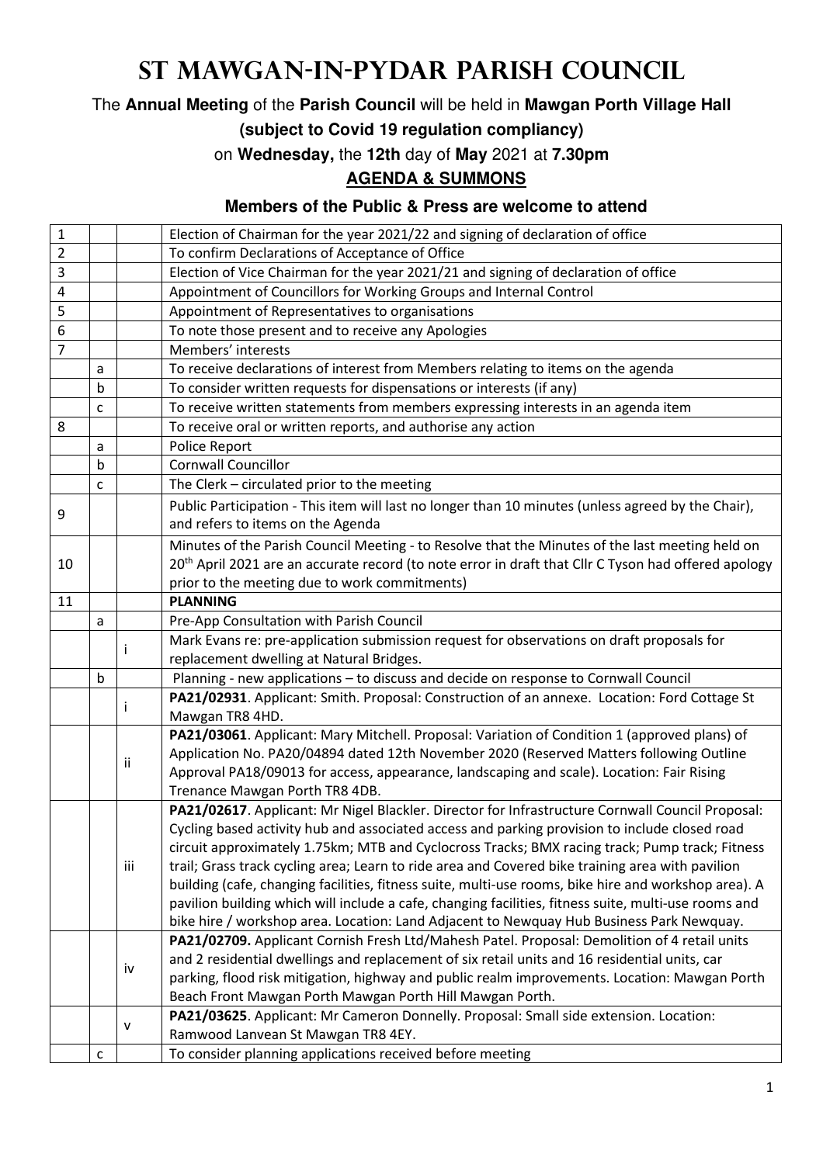## **St Mawgan-in-Pydar Parish Council**

The **Annual Meeting** of the **Parish Council** will be held in **Mawgan Porth Village Hall** 

**(subject to Covid 19 regulation compliancy)**

on **Wednesday,** the **12th** day of **May** 2021 at **7.30pm**

## **AGENDA & SUMMONS**

## **Members of the Public & Press are welcome to attend**

| 1                       |   |           | Election of Chairman for the year 2021/22 and signing of declaration of office                                                          |
|-------------------------|---|-----------|-----------------------------------------------------------------------------------------------------------------------------------------|
| $\overline{2}$          |   |           | To confirm Declarations of Acceptance of Office                                                                                         |
| 3                       |   |           | Election of Vice Chairman for the year 2021/21 and signing of declaration of office                                                     |
| $\overline{\mathbf{4}}$ |   |           | Appointment of Councillors for Working Groups and Internal Control                                                                      |
| 5                       |   |           | Appointment of Representatives to organisations                                                                                         |
| 6                       |   |           | To note those present and to receive any Apologies                                                                                      |
| $\overline{7}$          |   |           | Members' interests                                                                                                                      |
|                         | а |           | To receive declarations of interest from Members relating to items on the agenda                                                        |
|                         | b |           | To consider written requests for dispensations or interests (if any)                                                                    |
|                         | c |           | To receive written statements from members expressing interests in an agenda item                                                       |
| 8                       |   |           | To receive oral or written reports, and authorise any action                                                                            |
|                         | a |           | Police Report                                                                                                                           |
|                         | b |           | <b>Cornwall Councillor</b>                                                                                                              |
|                         | c |           | The Clerk - circulated prior to the meeting                                                                                             |
| 9                       |   |           | Public Participation - This item will last no longer than 10 minutes (unless agreed by the Chair),<br>and refers to items on the Agenda |
|                         |   |           | Minutes of the Parish Council Meeting - to Resolve that the Minutes of the last meeting held on                                         |
| 10                      |   |           | 20 <sup>th</sup> April 2021 are an accurate record (to note error in draft that Cllr C Tyson had offered apology                        |
|                         |   |           | prior to the meeting due to work commitments)                                                                                           |
| 11                      |   |           | <b>PLANNING</b>                                                                                                                         |
|                         | а |           | Pre-App Consultation with Parish Council                                                                                                |
|                         |   |           | Mark Evans re: pre-application submission request for observations on draft proposals for                                               |
|                         |   |           | replacement dwelling at Natural Bridges.                                                                                                |
|                         | b |           | Planning - new applications - to discuss and decide on response to Cornwall Council                                                     |
|                         |   |           | PA21/02931. Applicant: Smith. Proposal: Construction of an annexe. Location: Ford Cottage St                                            |
|                         |   | j.        | Mawgan TR8 4HD.                                                                                                                         |
|                         |   |           | PA21/03061. Applicant: Mary Mitchell. Proposal: Variation of Condition 1 (approved plans) of                                            |
|                         |   | ii.       | Application No. PA20/04894 dated 12th November 2020 (Reserved Matters following Outline                                                 |
|                         |   |           | Approval PA18/09013 for access, appearance, landscaping and scale). Location: Fair Rising                                               |
|                         |   |           | Trenance Mawgan Porth TR8 4DB.                                                                                                          |
|                         |   |           | PA21/02617. Applicant: Mr Nigel Blackler. Director for Infrastructure Cornwall Council Proposal:                                        |
|                         |   | iii       | Cycling based activity hub and associated access and parking provision to include closed road                                           |
|                         |   |           | circuit approximately 1.75km; MTB and Cyclocross Tracks; BMX racing track; Pump track; Fitness                                          |
|                         |   |           | trail; Grass track cycling area; Learn to ride area and Covered bike training area with pavilion                                        |
|                         |   |           | building (cafe, changing facilities, fitness suite, multi-use rooms, bike hire and workshop area). A                                    |
|                         |   |           | pavilion building which will include a cafe, changing facilities, fitness suite, multi-use rooms and                                    |
|                         |   |           | bike hire / workshop area. Location: Land Adjacent to Newquay Hub Business Park Newquay.                                                |
|                         |   |           | PA21/02709. Applicant Cornish Fresh Ltd/Mahesh Patel. Proposal: Demolition of 4 retail units                                            |
|                         |   | iv        | and 2 residential dwellings and replacement of six retail units and 16 residential units, car                                           |
|                         |   |           | parking, flood risk mitigation, highway and public realm improvements. Location: Mawgan Porth                                           |
|                         |   |           | Beach Front Mawgan Porth Mawgan Porth Hill Mawgan Porth.                                                                                |
|                         |   | ${\sf v}$ | PA21/03625. Applicant: Mr Cameron Donnelly. Proposal: Small side extension. Location:                                                   |
|                         |   |           | Ramwood Lanvean St Mawgan TR8 4EY.                                                                                                      |
|                         | с |           | To consider planning applications received before meeting                                                                               |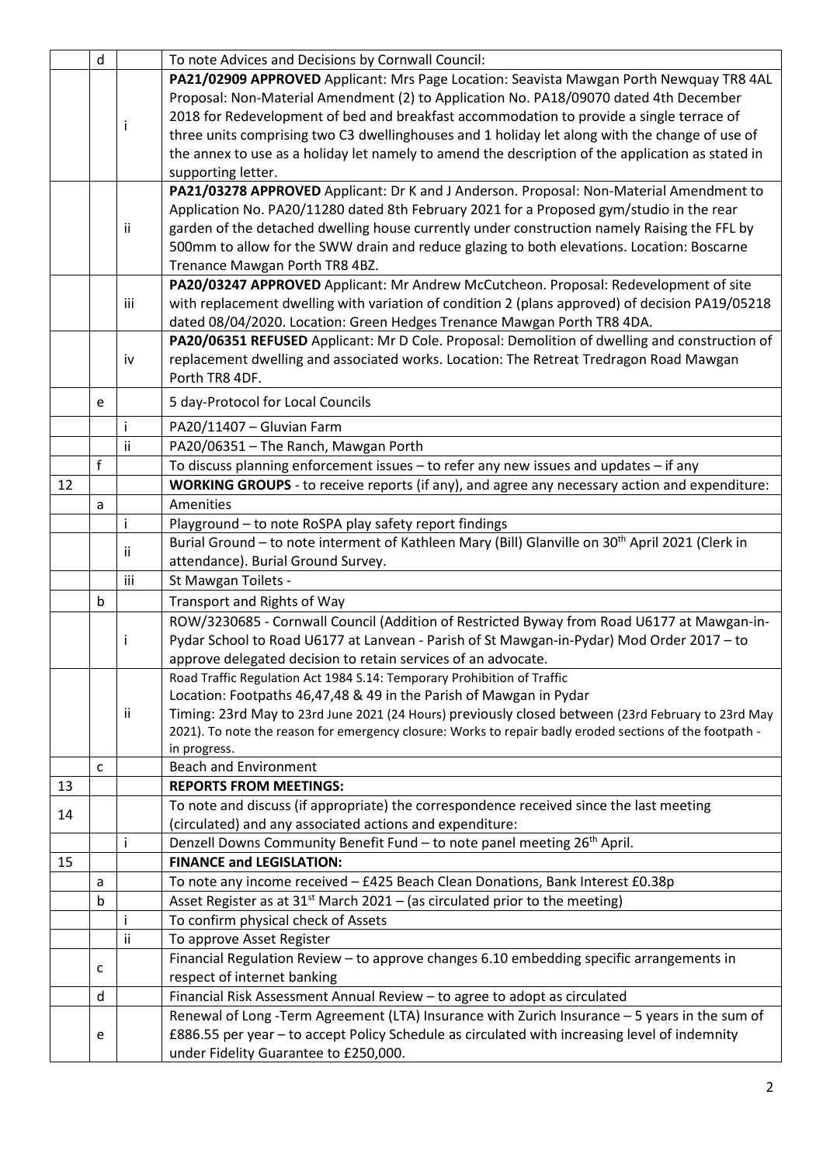|    | d            |     | To note Advices and Decisions by Cornwall Council:                                                                                                                                                             |
|----|--------------|-----|----------------------------------------------------------------------------------------------------------------------------------------------------------------------------------------------------------------|
|    |              |     | PA21/02909 APPROVED Applicant: Mrs Page Location: Seavista Mawgan Porth Newquay TR8 4AL                                                                                                                        |
|    |              |     | Proposal: Non-Material Amendment (2) to Application No. PA18/09070 dated 4th December                                                                                                                          |
|    |              |     | 2018 for Redevelopment of bed and breakfast accommodation to provide a single terrace of                                                                                                                       |
|    |              | Ť   | three units comprising two C3 dwellinghouses and 1 holiday let along with the change of use of                                                                                                                 |
|    |              |     | the annex to use as a holiday let namely to amend the description of the application as stated in                                                                                                              |
|    |              |     | supporting letter.                                                                                                                                                                                             |
|    |              |     | PA21/03278 APPROVED Applicant: Dr K and J Anderson. Proposal: Non-Material Amendment to                                                                                                                        |
|    |              |     | Application No. PA20/11280 dated 8th February 2021 for a Proposed gym/studio in the rear                                                                                                                       |
|    |              | Ιİ  | garden of the detached dwelling house currently under construction namely Raising the FFL by                                                                                                                   |
|    |              |     | 500mm to allow for the SWW drain and reduce glazing to both elevations. Location: Boscarne                                                                                                                     |
|    |              |     | Trenance Mawgan Porth TR8 4BZ.                                                                                                                                                                                 |
|    |              |     | PA20/03247 APPROVED Applicant: Mr Andrew McCutcheon. Proposal: Redevelopment of site                                                                                                                           |
|    |              | iii | with replacement dwelling with variation of condition 2 (plans approved) of decision PA19/05218                                                                                                                |
|    |              |     | dated 08/04/2020. Location: Green Hedges Trenance Mawgan Porth TR8 4DA.                                                                                                                                        |
|    |              |     | PA20/06351 REFUSED Applicant: Mr D Cole. Proposal: Demolition of dwelling and construction of                                                                                                                  |
|    |              | iv  | replacement dwelling and associated works. Location: The Retreat Tredragon Road Mawgan                                                                                                                         |
|    |              |     | Porth TR8 4DF.                                                                                                                                                                                                 |
|    | e            |     | 5 day-Protocol for Local Councils                                                                                                                                                                              |
|    |              | Ť   | PA20/11407 - Gluvian Farm                                                                                                                                                                                      |
|    |              | ii  | PA20/06351 - The Ranch, Mawgan Porth                                                                                                                                                                           |
|    | $\mathsf{f}$ |     | To discuss planning enforcement issues - to refer any new issues and updates - if any                                                                                                                          |
| 12 |              |     | WORKING GROUPS - to receive reports (if any), and agree any necessary action and expenditure:                                                                                                                  |
|    | a            |     | Amenities                                                                                                                                                                                                      |
|    |              | Ť   | Playground - to note RoSPA play safety report findings                                                                                                                                                         |
|    |              | Ϊİ  | Burial Ground - to note interment of Kathleen Mary (Bill) Glanville on 30 <sup>th</sup> April 2021 (Clerk in                                                                                                   |
|    |              |     | attendance). Burial Ground Survey.                                                                                                                                                                             |
|    |              | iii | St Mawgan Toilets -                                                                                                                                                                                            |
|    | b            |     | Transport and Rights of Way                                                                                                                                                                                    |
|    |              |     | ROW/3230685 - Cornwall Council (Addition of Restricted Byway from Road U6177 at Mawgan-in-                                                                                                                     |
|    |              | Ť   | Pydar School to Road U6177 at Lanvean - Parish of St Mawgan-in-Pydar) Mod Order 2017 - to                                                                                                                      |
|    |              |     | approve delegated decision to retain services of an advocate.                                                                                                                                                  |
|    |              |     | Road Traffic Regulation Act 1984 S.14: Temporary Prohibition of Traffic                                                                                                                                        |
|    |              |     | Location: Footpaths 46,47,48 & 49 in the Parish of Mawgan in Pydar                                                                                                                                             |
|    |              | Ϊİ  | Timing: 23rd May to 23rd June 2021 (24 Hours) previously closed between (23rd February to 23rd May<br>2021). To note the reason for emergency closure: Works to repair badly eroded sections of the footpath - |
|    |              |     | in progress.                                                                                                                                                                                                   |
|    | c            |     | <b>Beach and Environment</b>                                                                                                                                                                                   |
| 13 |              |     | <b>REPORTS FROM MEETINGS:</b>                                                                                                                                                                                  |
|    |              |     | To note and discuss (if appropriate) the correspondence received since the last meeting                                                                                                                        |
| 14 |              |     | (circulated) and any associated actions and expenditure:                                                                                                                                                       |
|    |              | Ť   | Denzell Downs Community Benefit Fund - to note panel meeting 26 <sup>th</sup> April.                                                                                                                           |
| 15 |              |     | <b>FINANCE and LEGISLATION:</b>                                                                                                                                                                                |
|    | a            |     | To note any income received - £425 Beach Clean Donations, Bank Interest £0.38p                                                                                                                                 |
|    | b            |     | Asset Register as at $31^{st}$ March 2021 – (as circulated prior to the meeting)                                                                                                                               |
|    |              | Ť   | To confirm physical check of Assets                                                                                                                                                                            |
|    |              | Ϊİ  | To approve Asset Register                                                                                                                                                                                      |
|    |              |     | Financial Regulation Review - to approve changes 6.10 embedding specific arrangements in                                                                                                                       |
|    | c            |     | respect of internet banking                                                                                                                                                                                    |
|    | d            |     | Financial Risk Assessment Annual Review - to agree to adopt as circulated                                                                                                                                      |
|    |              |     | Renewal of Long -Term Agreement (LTA) Insurance with Zurich Insurance - 5 years in the sum of                                                                                                                  |
|    | e            |     | £886.55 per year - to accept Policy Schedule as circulated with increasing level of indemnity                                                                                                                  |
|    |              |     | under Fidelity Guarantee to £250,000.                                                                                                                                                                          |